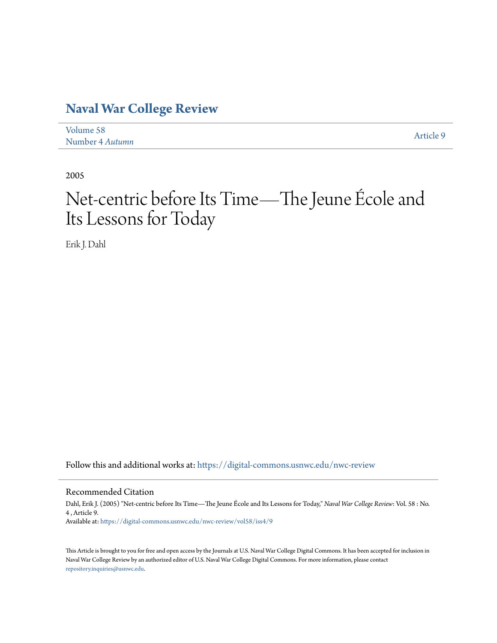# **[Naval War College Review](https://digital-commons.usnwc.edu/nwc-review?utm_source=digital-commons.usnwc.edu%2Fnwc-review%2Fvol58%2Fiss4%2F9&utm_medium=PDF&utm_campaign=PDFCoverPages)**

| Volume 58       | Article 9 |
|-----------------|-----------|
| Number 4 Autumn |           |

2005

# Net-centric before Its Time—The Jeune École and Its Lessons for Today

Erik J. Dahl

Follow this and additional works at: [https://digital-commons.usnwc.edu/nwc-review](https://digital-commons.usnwc.edu/nwc-review?utm_source=digital-commons.usnwc.edu%2Fnwc-review%2Fvol58%2Fiss4%2F9&utm_medium=PDF&utm_campaign=PDFCoverPages)

Recommended Citation

Dahl, Erik J. (2005) "Net-centric before Its Time—The Jeune École and Its Lessons for Today," *Naval War College Review*: Vol. 58 : No. 4 , Article 9. Available at: [https://digital-commons.usnwc.edu/nwc-review/vol58/iss4/9](https://digital-commons.usnwc.edu/nwc-review/vol58/iss4/9?utm_source=digital-commons.usnwc.edu%2Fnwc-review%2Fvol58%2Fiss4%2F9&utm_medium=PDF&utm_campaign=PDFCoverPages)

This Article is brought to you for free and open access by the Journals at U.S. Naval War College Digital Commons. It has been accepted for inclusion in Naval War College Review by an authorized editor of U.S. Naval War College Digital Commons. For more information, please contact [repository.inquiries@usnwc.edu](mailto:repository.inquiries@usnwc.edu).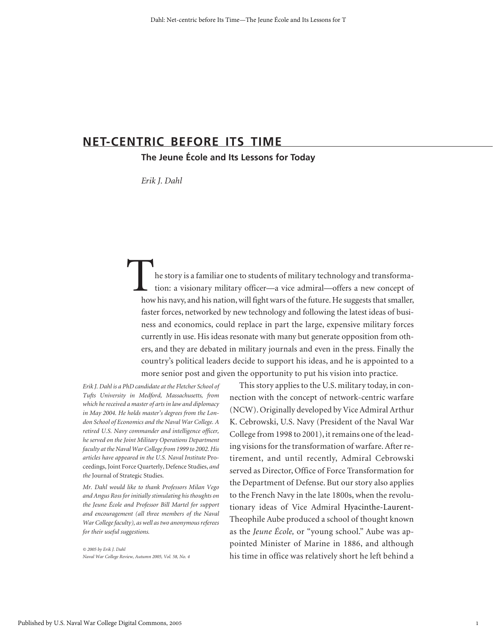# **NET-CENTRIC BEFORE ITS TIME**

**The Jeune École and Its Lessons for Today**

*Erik J. Dahl*

he story is a familiar one to students of military technology and transformation: a visionary military officer—a vice admiral—offers a new concept of how his navy, and his nation, will fight wars of the future. He suggests that smaller, faster forces, networked by new technology and following the latest ideas of business and economics, could replace in part the large, expensive military forces currently in use. His ideas resonate with many but generate opposition from others, and they are debated in military journals and even in the press. Finally the country's political leaders decide to support his ideas, and he is appointed to a more senior post and given the opportunity to put his vision into practice.

*Erik J. Dahl is a PhD candidate at the Fletcher School of Tufts University in Medford, Massachusetts, from which he received a master of arts in law and diplomacy in May 2004. He holds master's degrees from the London School of Economics and the Naval War College. A retired U.S. Navy commander and intelligence officer, he served on the Joint Military Operations Department faculty at the Naval War College from 1999 to 2002. His articles have appeared in the U.S. Naval Institute* Proceedings, Joint Force Quarterly, Defence Studies, *and the* Journal of Strategic Studies.

*Mr. Dahl would like to thank Professors Milan Vego and Angus Ross for initially stimulating his thoughts on the Jeune École and Professor Bill Martel for support and encouragement (all three members of the Naval War College faculty), as well as two anonymous referees for their useful suggestions.*

*© 2005 by Erik J. Dahl Naval War College Review, Autumn 2005, Vol. 58, No. 4*

This story applies to the U.S. military today, in connection with the concept of network-centric warfare (NCW). Originally developed by Vice Admiral Arthur K. Cebrowski, U.S. Navy (President of the Naval War College from 1998 to 2001), it remains one of the leading visions for the transformation of warfare. After retirement, and until recently, Admiral Cebrowski served as Director, Office of Force Transformation for the Department of Defense. But our story also applies to the French Navy in the late 1800s, when the revolutionary ideas of Vice Admiral Hyacinthe-Laurent-Theophile Aube produced a school of thought known as the *Jeune École,* or "young school." Aube was appointed Minister of Marine in 1886, and although his time in office was relatively short he left behind a

1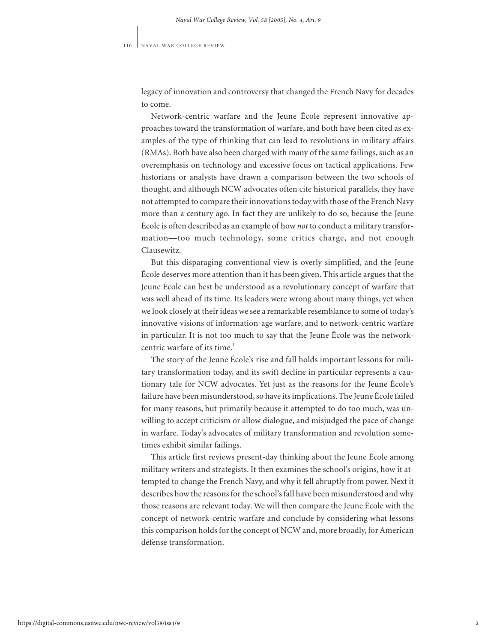legacy of innovation and controversy that changed the French Navy for decades to come.

Network-centric warfare and the Jeune École represent innovative approaches toward the transformation of warfare, and both have been cited as examples of the type of thinking that can lead to revolutions in military affairs (RMAs). Both have also been charged with many of the same failings, such as an overemphasis on technology and excessive focus on tactical applications. Few historians or analysts have drawn a comparison between the two schools of thought, and although NCW advocates often cite historical parallels, they have not attempted to compare their innovations today with those of the French Navy more than a century ago. In fact they are unlikely to do so, because the Jeune École is often described as an example of how *not* to conduct a military transformation—too much technology, some critics charge, and not enough Clausewitz.

But this disparaging conventional view is overly simplified, and the Jeune École deserves more attention than it has been given. This article argues that the Jeune École can best be understood as a revolutionary concept of warfare that was well ahead of its time. Its leaders were wrong about many things, yet when we look closely at their ideas we see a remarkable resemblance to some of today's innovative visions of information-age warfare, and to network-centric warfare in particular. It is not too much to say that the Jeune École was the networkcentric warfare of its time.<sup>1</sup>

The story of the Jeune École's rise and fall holds important lessons for military transformation today, and its swift decline in particular represents a cautionary tale for NCW advocates. Yet just as the reasons for the Jeune École*'*s failure have been misunderstood, so have its implications. The Jeune École failed for many reasons, but primarily because it attempted to do too much, was unwilling to accept criticism or allow dialogue, and misjudged the pace of change in warfare. Today's advocates of military transformation and revolution sometimes exhibit similar failings.

This article first reviews present-day thinking about the Jeune École among military writers and strategists. It then examines the school's origins, how it attempted to change the French Navy, and why it fell abruptly from power. Next it describes how the reasons for the school's fall have been misunderstood and why those reasons are relevant today. We will then compare the Jeune École with the concept of network-centric warfare and conclude by considering what lessons this comparison holds for the concept of NCW and, more broadly, for American defense transformation.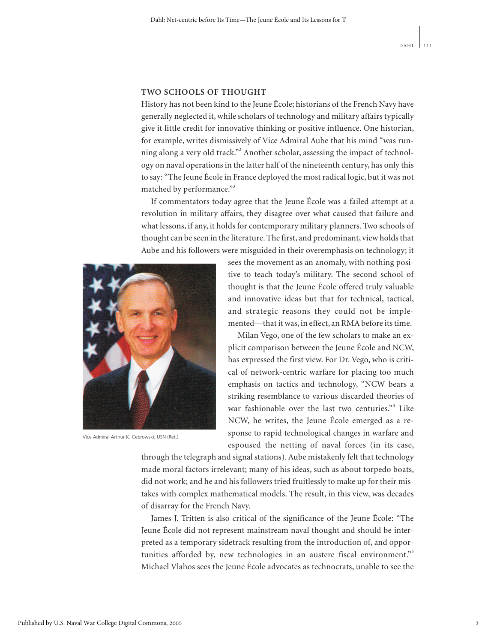## **TWO SCHOOLS OF THOUGHT**

History has not been kind to the Jeune École; historians of the French Navy have generally neglected it, while scholars of technology and military affairs typically give it little credit for innovative thinking or positive influence. One historian, for example, writes dismissively of Vice Admiral Aube that his mind "was running along a very old track."<sup>2</sup> Another scholar, assessing the impact of technology on naval operations in the latter half of the nineteenth century, has only this to say: "The Jeune École in France deployed the most radical logic, but it was not matched by performance."<sup>3</sup>

If commentators today agree that the Jeune École was a failed attempt at a revolution in military affairs, they disagree over what caused that failure and what lessons, if any, it holds for contemporary military planners. Two schools of thought can be seen in the literature. The first, and predominant, view holds that Aube and his followers were misguided in their overemphasis on technology; it



Vice Admiral Arthur K. Cebrowski, USN (Ret.)

sees the movement as an anomaly, with nothing positive to teach today's military. The second school of thought is that the Jeune École offered truly valuable and innovative ideas but that for technical, tactical, and strategic reasons they could not be implemented—that it was, in effect, an RMA before its time.

Milan Vego, one of the few scholars to make an explicit comparison between the Jeune École and NCW, has expressed the first view. For Dr. Vego, who is critical of network-centric warfare for placing too much emphasis on tactics and technology, "NCW bears a striking resemblance to various discarded theories of war fashionable over the last two centuries."<sup>4</sup> Like NCW, he writes, the Jeune École emerged as a response to rapid technological changes in warfare and espoused the netting of naval forces (in its case,

through the telegraph and signal stations). Aube mistakenly felt that technology made moral factors irrelevant; many of his ideas, such as about torpedo boats, did not work; and he and his followers tried fruitlessly to make up for their mistakes with complex mathematical models. The result, in this view, was decades of disarray for the French Navy.

James J. Tritten is also critical of the significance of the Jeune École: "The Jeune École did not represent mainstream naval thought and should be interpreted as a temporary sidetrack resulting from the introduction of, and opportunities afforded by, new technologies in an austere fiscal environment."<sup>5</sup> Michael Vlahos sees the Jeune École advocates as technocrats, unable to see the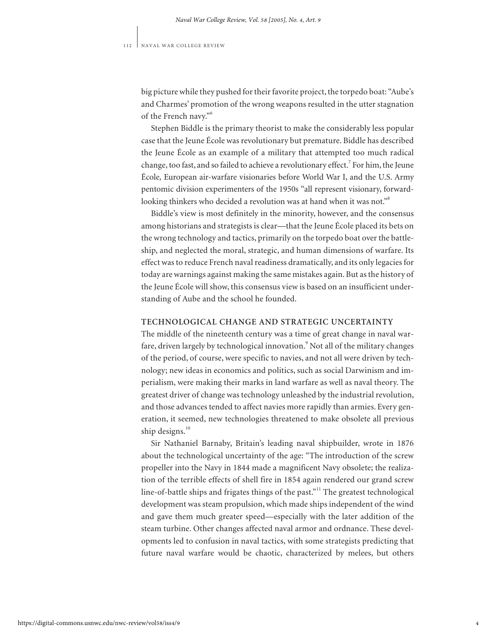big picture while they pushed for their favorite project, the torpedo boat: "Aube's and Charmes' promotion of the wrong weapons resulted in the utter stagnation of the French navy."<sup>6</sup>

Stephen Biddle is the primary theorist to make the considerably less popular case that the Jeune École was revolutionary but premature. Biddle has described the Jeune École as an example of a military that attempted too much radical change, too fast, and so failed to achieve a revolutionary effect.<sup>7</sup> For him, the Jeune École*,* European air-warfare visionaries before World War I, and the U.S. Army pentomic division experimenters of the 1950s "all represent visionary, forwardlooking thinkers who decided a revolution was at hand when it was not."<sup>8</sup>

Biddle's view is most definitely in the minority, however, and the consensus among historians and strategists is clear—that the Jeune École placed its bets on the wrong technology and tactics, primarily on the torpedo boat over the battleship, and neglected the moral, strategic, and human dimensions of warfare. Its effect was to reduce French naval readiness dramatically, and its only legacies for today are warnings against making the same mistakes again. But as the history of the Jeune École will show, this consensus view is based on an insufficient understanding of Aube and the school he founded.

# **TECHNOLOGICAL CHANGE AND STRATEGIC UNCERTAINTY**

The middle of the nineteenth century was a time of great change in naval warfare, driven largely by technological innovation.<sup>9</sup> Not all of the military changes of the period, of course, were specific to navies, and not all were driven by technology; new ideas in economics and politics, such as social Darwinism and imperialism, were making their marks in land warfare as well as naval theory. The greatest driver of change was technology unleashed by the industrial revolution, and those advances tended to affect navies more rapidly than armies. Every generation, it seemed, new technologies threatened to make obsolete all previous ship designs.<sup>10</sup>

Sir Nathaniel Barnaby, Britain's leading naval shipbuilder, wrote in 1876 about the technological uncertainty of the age: "The introduction of the screw propeller into the Navy in 1844 made a magnificent Navy obsolete; the realization of the terrible effects of shell fire in 1854 again rendered our grand screw line-of-battle ships and frigates things of the past."<sup>11</sup> The greatest technological development was steam propulsion, which made ships independent of the wind and gave them much greater speed—especially with the later addition of the steam turbine. Other changes affected naval armor and ordnance. These developments led to confusion in naval tactics, with some strategists predicting that future naval warfare would be chaotic, characterized by melees, but others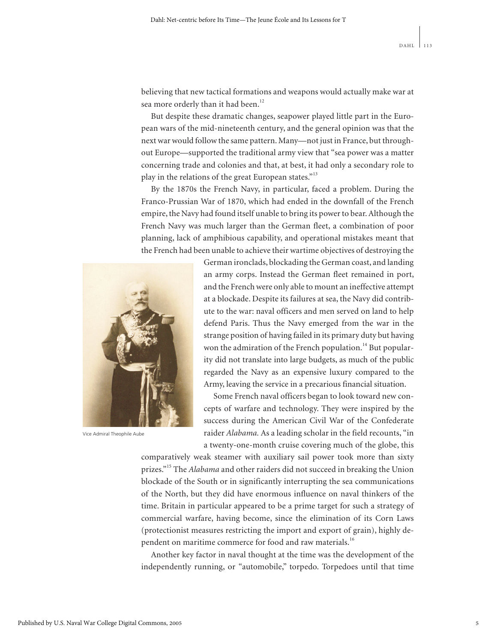believing that new tactical formations and weapons would actually make war at sea more orderly than it had been.<sup>12</sup>

But despite these dramatic changes, seapower played little part in the European wars of the mid-nineteenth century, and the general opinion was that the next war would follow the same pattern. Many—not just in France, but throughout Europe—supported the traditional army view that "sea power was a matter concerning trade and colonies and that, at best, it had only a secondary role to play in the relations of the great European states."<sup>13</sup>

By the 1870s the French Navy, in particular, faced a problem. During the Franco-Prussian War of 1870, which had ended in the downfall of the French empire, the Navy had found itself unable to bring its power to bear. Although the French Navy was much larger than the German fleet, a combination of poor planning, lack of amphibious capability, and operational mistakes meant that the French had been unable to achieve their wartime objectives of destroying the



Vice Admiral Theophile Aube

German ironclads, blockading the German coast, and landing an army corps. Instead the German fleet remained in port, and the French were only able to mount an ineffective attempt at a blockade. Despite its failures at sea, the Navy did contribute to the war: naval officers and men served on land to help defend Paris. Thus the Navy emerged from the war in the strange position of having failed in its primary duty but having won the admiration of the French population.<sup>14</sup> But popularity did not translate into large budgets, as much of the public regarded the Navy as an expensive luxury compared to the Army, leaving the service in a precarious financial situation.

Some French naval officers began to look toward new concepts of warfare and technology. They were inspired by the success during the American Civil War of the Confederate raider *Alabama.* As a leading scholar in the field recounts, "in a twenty-one-month cruise covering much of the globe, this

comparatively weak steamer with auxiliary sail power took more than sixty prizes."<sup>15</sup> The *Alabama* and other raiders did not succeed in breaking the Union blockade of the South or in significantly interrupting the sea communications of the North, but they did have enormous influence on naval thinkers of the time. Britain in particular appeared to be a prime target for such a strategy of commercial warfare, having become, since the elimination of its Corn Laws (protectionist measures restricting the import and export of grain), highly dependent on maritime commerce for food and raw materials.<sup>16</sup>

Another key factor in naval thought at the time was the development of the independently running, or "automobile," torpedo. Torpedoes until that time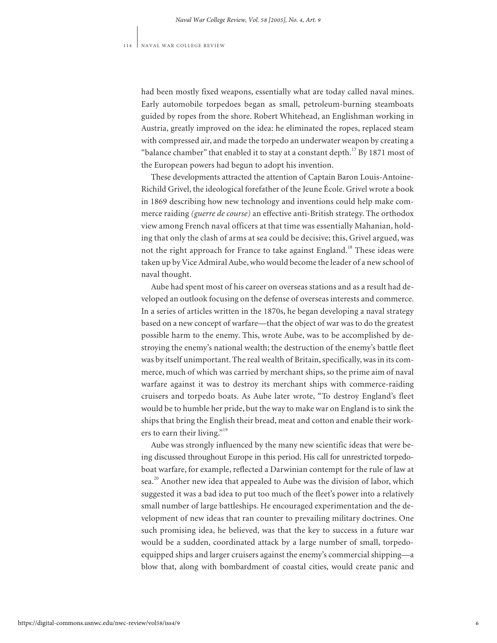had been mostly fixed weapons, essentially what are today called naval mines. Early automobile torpedoes began as small, petroleum-burning steamboats guided by ropes from the shore. Robert Whitehead, an Englishman working in Austria, greatly improved on the idea: he eliminated the ropes, replaced steam with compressed air, and made the torpedo an underwater weapon by creating a "balance chamber" that enabled it to stay at a constant depth.<sup>17</sup> By 1871 most of the European powers had begun to adopt his invention.

These developments attracted the attention of Captain Baron Louis-Antoine-Richild Grivel, the ideological forefather of the Jeune École. Grivel wrote a book in 1869 describing how new technology and inventions could help make commerce raiding *(guerre de course)* an effective anti-British strategy. The orthodox view among French naval officers at that time was essentially Mahanian, holding that only the clash of arms at sea could be decisive; this, Grivel argued, was not the right approach for France to take against England.<sup>18</sup> These ideas were taken up by Vice Admiral Aube, who would become the leader of a new school of naval thought.

Aube had spent most of his career on overseas stations and as a result had developed an outlook focusing on the defense of overseas interests and commerce. In a series of articles written in the 1870s, he began developing a naval strategy based on a new concept of warfare—that the object of war was to do the greatest possible harm to the enemy. This, wrote Aube, was to be accomplished by destroying the enemy's national wealth; the destruction of the enemy's battle fleet was by itself unimportant. The real wealth of Britain, specifically, was in its commerce, much of which was carried by merchant ships, so the prime aim of naval warfare against it was to destroy its merchant ships with commerce-raiding cruisers and torpedo boats. As Aube later wrote, "To destroy England's fleet would be to humble her pride, but the way to make war on England is to sink the ships that bring the English their bread, meat and cotton and enable their workers to earn their living."<sup>19</sup>

Aube was strongly influenced by the many new scientific ideas that were being discussed throughout Europe in this period. His call for unrestricted torpedoboat warfare, for example, reflected a Darwinian contempt for the rule of law at sea.<sup>20</sup> Another new idea that appealed to Aube was the division of labor, which suggested it was a bad idea to put too much of the fleet's power into a relatively small number of large battleships. He encouraged experimentation and the development of new ideas that ran counter to prevailing military doctrines. One such promising idea, he believed, was that the key to success in a future war would be a sudden, coordinated attack by a large number of small, torpedoequipped ships and larger cruisers against the enemy's commercial shipping—a blow that, along with bombardment of coastal cities, would create panic and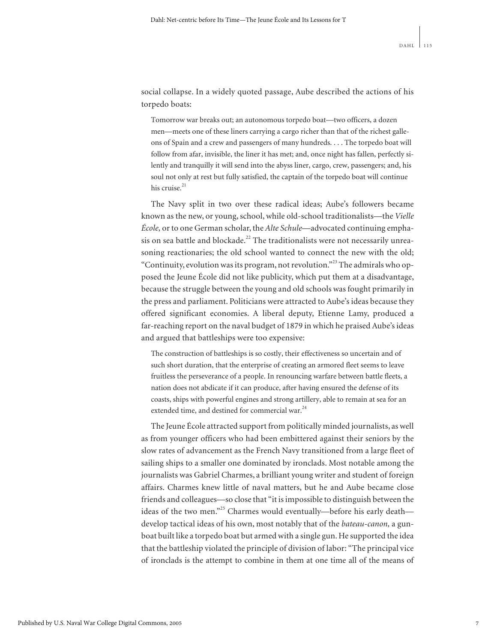social collapse. In a widely quoted passage, Aube described the actions of his torpedo boats:

Tomorrow war breaks out; an autonomous torpedo boat—two officers, a dozen men—meets one of these liners carrying a cargo richer than that of the richest galleons of Spain and a crew and passengers of many hundreds. . . . The torpedo boat will follow from afar, invisible, the liner it has met; and, once night has fallen, perfectly silently and tranquilly it will send into the abyss liner, cargo, crew, passengers; and, his soul not only at rest but fully satisfied, the captain of the torpedo boat will continue his cruise.<sup>21</sup>

The Navy split in two over these radical ideas; Aube's followers became known as the new, or young, school, while old-school traditionalists—the *Vielle École,* or to one German scholar, the *Alte Schule*—advocated continuing emphasis on sea battle and blockade.<sup>22</sup> The traditionalists were not necessarily unreasoning reactionaries; the old school wanted to connect the new with the old; "Continuity, evolution was its program, not revolution."<sup>23</sup> The admirals who opposed the Jeune École did not like publicity, which put them at a disadvantage, because the struggle between the young and old schools was fought primarily in the press and parliament. Politicians were attracted to Aube's ideas because they offered significant economies. A liberal deputy, Etienne Lamy, produced a far-reaching report on the naval budget of 1879 in which he praised Aube's ideas and argued that battleships were too expensive:

The construction of battleships is so costly, their effectiveness so uncertain and of such short duration, that the enterprise of creating an armored fleet seems to leave fruitless the perseverance of a people. In renouncing warfare between battle fleets, a nation does not abdicate if it can produce, after having ensured the defense of its coasts, ships with powerful engines and strong artillery, able to remain at sea for an extended time, and destined for commercial war.<sup>24</sup>

The Jeune École attracted support from politically minded journalists, as well as from younger officers who had been embittered against their seniors by the slow rates of advancement as the French Navy transitioned from a large fleet of sailing ships to a smaller one dominated by ironclads. Most notable among the journalists was Gabriel Charmes, a brilliant young writer and student of foreign affairs. Charmes knew little of naval matters, but he and Aube became close friends and colleagues—so close that "it is impossible to distinguish between the ideas of the two men."<sup>25</sup> Charmes would eventually—before his early death develop tactical ideas of his own, most notably that of the *bateau-canon,* a gunboat built like a torpedo boat but armed with a single gun. He supported the idea that the battleship violated the principle of division of labor: "The principal vice of ironclads is the attempt to combine in them at one time all of the means of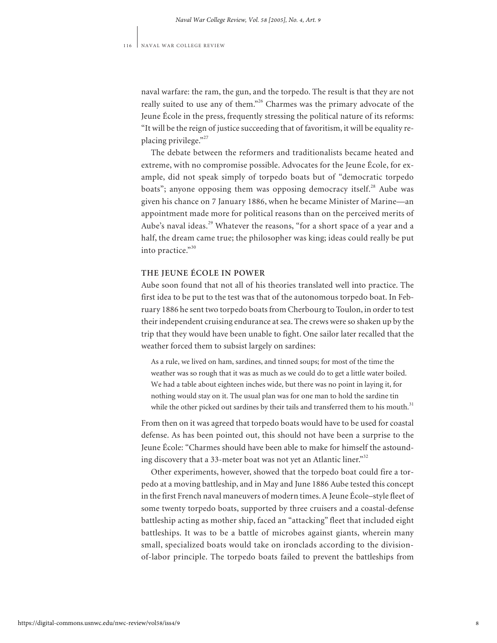naval warfare: the ram, the gun, and the torpedo. The result is that they are not really suited to use any of them."<sup>26</sup> Charmes was the primary advocate of the Jeune École in the press, frequently stressing the political nature of its reforms: "It will be the reign of justice succeeding that of favoritism, it will be equality replacing privilege."<sup>27</sup>

The debate between the reformers and traditionalists became heated and extreme, with no compromise possible. Advocates for the Jeune École, for example, did not speak simply of torpedo boats but of "democratic torpedo boats"; anyone opposing them was opposing democracy itself.<sup>28</sup> Aube was given his chance on 7 January 1886, when he became Minister of Marine—an appointment made more for political reasons than on the perceived merits of Aube's naval ideas.<sup>29</sup> Whatever the reasons, "for a short space of a year and a half, the dream came true; the philosopher was king; ideas could really be put into practice."30

# **THE JEUNE ÉCOLE IN POWER**

Aube soon found that not all of his theories translated well into practice. The first idea to be put to the test was that of the autonomous torpedo boat. In February 1886 he sent two torpedo boats from Cherbourg to Toulon, in order to test their independent cruising endurance at sea. The crews were so shaken up by the trip that they would have been unable to fight. One sailor later recalled that the weather forced them to subsist largely on sardines:

As a rule, we lived on ham, sardines, and tinned soups; for most of the time the weather was so rough that it was as much as we could do to get a little water boiled. We had a table about eighteen inches wide, but there was no point in laying it, for nothing would stay on it. The usual plan was for one man to hold the sardine tin while the other picked out sardines by their tails and transferred them to his mouth. $31$ 

From then on it was agreed that torpedo boats would have to be used for coastal defense. As has been pointed out, this should not have been a surprise to the Jeune École: "Charmes should have been able to make for himself the astounding discovery that a 33-meter boat was not yet an Atlantic liner."<sup>32</sup>

Other experiments, however, showed that the torpedo boat could fire a torpedo at a moving battleship, and in May and June 1886 Aube tested this concept in the first French naval maneuvers of modern times. A Jeune École–style fleet of some twenty torpedo boats, supported by three cruisers and a coastal-defense battleship acting as mother ship, faced an "attacking" fleet that included eight battleships. It was to be a battle of microbes against giants, wherein many small, specialized boats would take on ironclads according to the divisionof-labor principle. The torpedo boats failed to prevent the battleships from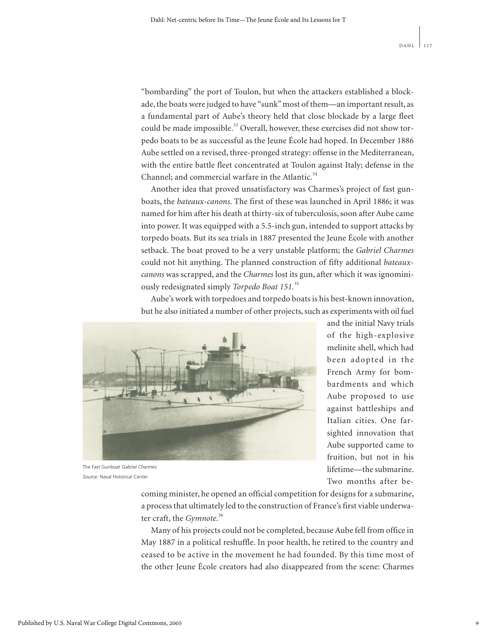"bombarding" the port of Toulon, but when the attackers established a blockade, the boats were judged to have "sunk" most of them—an important result, as a fundamental part of Aube's theory held that close blockade by a large fleet could be made impossible.<sup>33</sup> Overall, however, these exercises did not show torpedo boats to be as successful as the Jeune École had hoped. In December 1886 Aube settled on a revised, three-pronged strategy: offense in the Mediterranean, with the entire battle fleet concentrated at Toulon against Italy; defense in the Channel; and commercial warfare in the Atlantic.<sup>34</sup>

Another idea that proved unsatisfactory was Charmes's project of fast gunboats, the *bateaux-canons*. The first of these was launched in April 1886; it was named for him after his death at thirty-six of tuberculosis, soon after Aube came into power. It was equipped with a 5.5-inch gun, intended to support attacks by torpedo boats. But its sea trials in 1887 presented the Jeune École with another setback. The boat proved to be a very unstable platform; the *Gabriel Charmes* could not hit anything. The planned construction of fifty additional *bateauxcanons* was scrapped, and the *Charmes* lost its gun, after which it was ignominiously redesignated simply *Torpedo Boat 151.*<sup>35</sup>

Aube's work with torpedoes and torpedo boats is his best-known innovation, but he also initiated a number of other projects, such as experiments with oil fuel



The Fast Gunboat *Gabriel Charmes Source:* Naval Historical Center

and the initial Navy trials of the high-explosive melinite shell, which had been adopted in the French Army for bombardments and which Aube proposed to use against battleships and Italian cities. One farsighted innovation that Aube supported came to fruition, but not in his lifetime—the submarine. Two months after be-

coming minister, he opened an official competition for designs for a submarine, a process that ultimately led to the construction of France's first viable underwater craft, the *Gymnote*. 36

Many of his projects could not be completed, because Aube fell from office in May 1887 in a political reshuffle. In poor health, he retired to the country and ceased to be active in the movement he had founded. By this time most of the other Jeune École creators had also disappeared from the scene: Charmes

9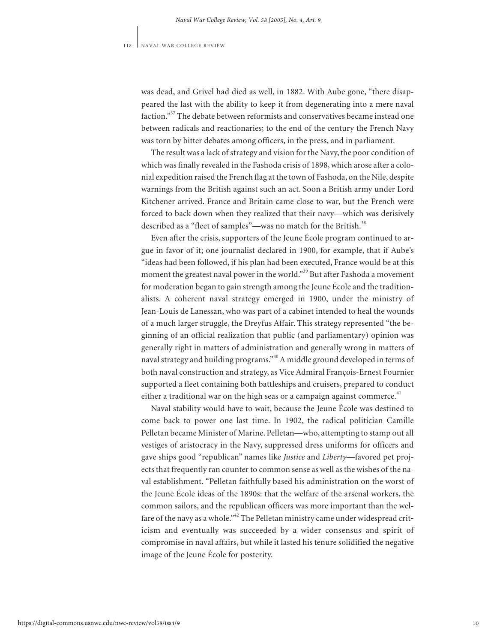was dead, and Grivel had died as well, in 1882. With Aube gone, "there disappeared the last with the ability to keep it from degenerating into a mere naval faction."<sup>37</sup> The debate between reformists and conservatives became instead one between radicals and reactionaries; to the end of the century the French Navy was torn by bitter debates among officers, in the press, and in parliament.

The result was a lack of strategy and vision for the Navy, the poor condition of which was finally revealed in the Fashoda crisis of 1898, which arose after a colonial expedition raised the French flag at the town of Fashoda, on the Nile, despite warnings from the British against such an act. Soon a British army under Lord Kitchener arrived. France and Britain came close to war, but the French were forced to back down when they realized that their navy—which was derisively described as a "fleet of samples"—was no match for the British.<sup>38</sup>

Even after the crisis, supporters of the Jeune École program continued to argue in favor of it; one journalist declared in 1900, for example, that if Aube's "ideas had been followed, if his plan had been executed, France would be at this moment the greatest naval power in the world."<sup>39</sup> But after Fashoda a movement for moderation began to gain strength among the Jeune École and the traditionalists. A coherent naval strategy emerged in 1900, under the ministry of Jean-Louis de Lanessan, who was part of a cabinet intended to heal the wounds of a much larger struggle, the Dreyfus Affair. This strategy represented "the beginning of an official realization that public (and parliamentary) opinion was generally right in matters of administration and generally wrong in matters of naval strategy and building programs."<sup>40</sup> A middle ground developed in terms of both naval construction and strategy, as Vice Admiral François-Ernest Fournier supported a fleet containing both battleships and cruisers, prepared to conduct either a traditional war on the high seas or a campaign against commerce.<sup>41</sup>

Naval stability would have to wait, because the Jeune École was destined to come back to power one last time. In 1902, the radical politician Camille Pelletan became Minister of Marine. Pelletan—who, attempting to stamp out all vestiges of aristocracy in the Navy, suppressed dress uniforms for officers and gave ships good "republican" names like *Justice* and *Liberty—*favored pet projects that frequently ran counter to common sense as well as the wishes of the naval establishment. "Pelletan faithfully based his administration on the worst of the Jeune École ideas of the 1890s: that the welfare of the arsenal workers, the common sailors, and the republican officers was more important than the welfare of the navy as a whole."<sup>42</sup> The Pelletan ministry came under widespread criticism and eventually was succeeded by a wider consensus and spirit of compromise in naval affairs, but while it lasted his tenure solidified the negative image of the Jeune École for posterity.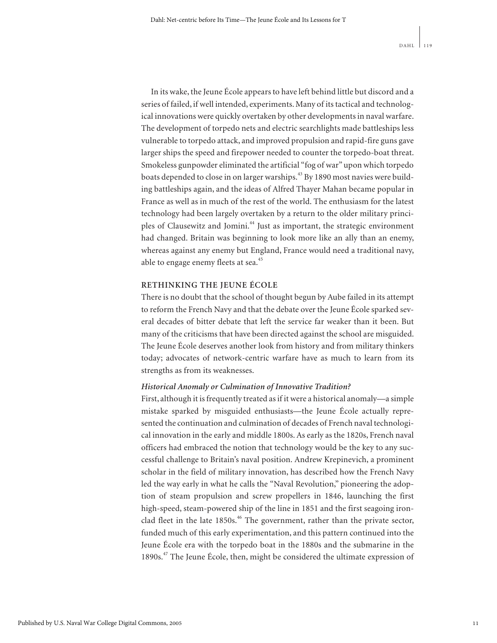In its wake, the Jeune École appears to have left behind little but discord and a series of failed, if well intended, experiments. Many of its tactical and technological innovations were quickly overtaken by other developments in naval warfare. The development of torpedo nets and electric searchlights made battleships less vulnerable to torpedo attack, and improved propulsion and rapid-fire guns gave larger ships the speed and firepower needed to counter the torpedo-boat threat. Smokeless gunpowder eliminated the artificial "fog of war" upon which torpedo boats depended to close in on larger warships.<sup>43</sup> By 1890 most navies were building battleships again, and the ideas of Alfred Thayer Mahan became popular in France as well as in much of the rest of the world. The enthusiasm for the latest technology had been largely overtaken by a return to the older military principles of Clausewitz and Jomini.<sup>44</sup> Just as important, the strategic environment had changed. Britain was beginning to look more like an ally than an enemy, whereas against any enemy but England, France would need a traditional navy, able to engage enemy fleets at sea.<sup>45</sup>

# **RETHINKING THE JEUNE ÉCOLE**

There is no doubt that the school of thought begun by Aube failed in its attempt to reform the French Navy and that the debate over the Jeune École sparked several decades of bitter debate that left the service far weaker than it been. But many of the criticisms that have been directed against the school are misguided. The Jeune École deserves another look from history and from military thinkers today; advocates of network-centric warfare have as much to learn from its strengths as from its weaknesses.

# *Historical Anomaly or Culmination of Innovative Tradition?*

First, although it is frequently treated as if it were a historical anomaly—a simple mistake sparked by misguided enthusiasts—the Jeune École actually represented the continuation and culmination of decades of French naval technological innovation in the early and middle 1800s. As early as the 1820s, French naval officers had embraced the notion that technology would be the key to any successful challenge to Britain's naval position. Andrew Krepinevich, a prominent scholar in the field of military innovation, has described how the French Navy led the way early in what he calls the "Naval Revolution," pioneering the adoption of steam propulsion and screw propellers in 1846, launching the first high-speed, steam-powered ship of the line in 1851 and the first seagoing ironclad fleet in the late  $1850s$ .<sup>46</sup> The government, rather than the private sector, funded much of this early experimentation, and this pattern continued into the Jeune École era with the torpedo boat in the 1880s and the submarine in the 1890s.<sup>47</sup> The Jeune École, then, might be considered the ultimate expression of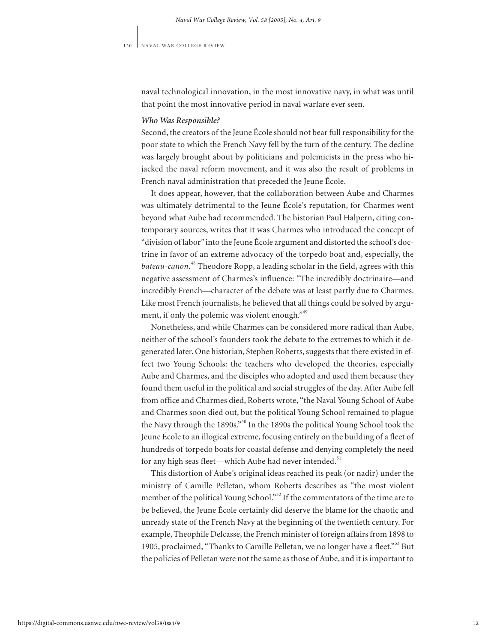naval technological innovation, in the most innovative navy, in what was until that point the most innovative period in naval warfare ever seen.

# *Who Was Responsible?*

Second, the creators of the Jeune École should not bear full responsibility for the poor state to which the French Navy fell by the turn of the century. The decline was largely brought about by politicians and polemicists in the press who hijacked the naval reform movement, and it was also the result of problems in French naval administration that preceded the Jeune École.

It does appear, however, that the collaboration between Aube and Charmes was ultimately detrimental to the Jeune École's reputation, for Charmes went beyond what Aube had recommended. The historian Paul Halpern, citing contemporary sources, writes that it was Charmes who introduced the concept of "division of labor"into the Jeune École argument and distorted the school's doctrine in favor of an extreme advocacy of the torpedo boat and, especially, the *bateau-canon*. <sup>48</sup> Theodore Ropp, a leading scholar in the field, agrees with this negative assessment of Charmes's influence: "The incredibly doctrinaire—and incredibly French—character of the debate was at least partly due to Charmes. Like most French journalists, he believed that all things could be solved by argument, if only the polemic was violent enough."<sup>49</sup>

Nonetheless, and while Charmes can be considered more radical than Aube, neither of the school's founders took the debate to the extremes to which it degenerated later. One historian, Stephen Roberts, suggests that there existed in effect two Young Schools: the teachers who developed the theories, especially Aube and Charmes, and the disciples who adopted and used them because they found them useful in the political and social struggles of the day. After Aube fell from office and Charmes died, Roberts wrote, "the Naval Young School of Aube and Charmes soon died out, but the political Young School remained to plague the Navy through the 1890s."<sup>50</sup> In the 1890s the political Young School took the Jeune École to an illogical extreme, focusing entirely on the building of a fleet of hundreds of torpedo boats for coastal defense and denying completely the need for any high seas fleet—which Aube had never intended.<sup>51</sup>

This distortion of Aube's original ideas reached its peak (or nadir) under the ministry of Camille Pelletan, whom Roberts describes as "the most violent member of the political Young School."<sup>52</sup> If the commentators of the time are to be believed, the Jeune École certainly did deserve the blame for the chaotic and unready state of the French Navy at the beginning of the twentieth century. For example, Theophile Delcasse, the French minister of foreign affairs from 1898 to 1905, proclaimed, "Thanks to Camille Pelletan, we no longer have a fleet."<sup>53</sup> But the policies of Pelletan were not the same as those of Aube, and it is important to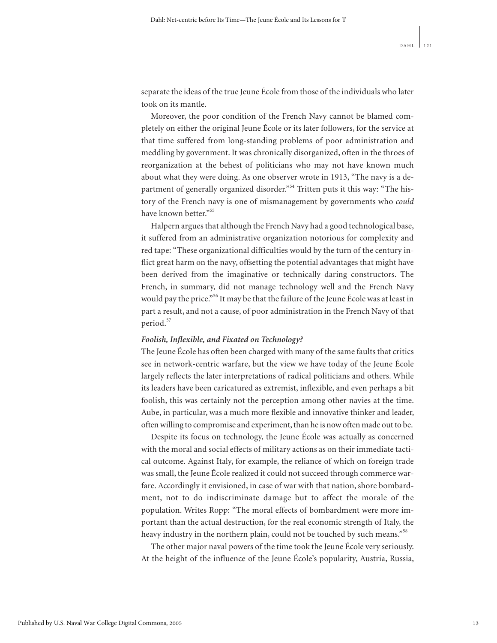separate the ideas of the true Jeune École from those of the individuals who later took on its mantle.

Moreover, the poor condition of the French Navy cannot be blamed completely on either the original Jeune École or its later followers, for the service at that time suffered from long-standing problems of poor administration and meddling by government. It was chronically disorganized, often in the throes of reorganization at the behest of politicians who may not have known much about what they were doing. As one observer wrote in 1913, "The navy is a department of generally organized disorder."<sup>54</sup> Tritten puts it this way: "The history of the French navy is one of mismanagement by governments who *could* have known better."<sup>55</sup>

Halpern argues that although the French Navy had a good technological base, it suffered from an administrative organization notorious for complexity and red tape: "These organizational difficulties would by the turn of the century inflict great harm on the navy, offsetting the potential advantages that might have been derived from the imaginative or technically daring constructors. The French, in summary, did not manage technology well and the French Navy would pay the price."<sup>56</sup> It may be that the failure of the Jeune École was at least in part a result, and not a cause, of poor administration in the French Navy of that period.<sup>57</sup>

# *Foolish, Inflexible, and Fixated on Technology?*

The Jeune École has often been charged with many of the same faults that critics see in network-centric warfare, but the view we have today of the Jeune École largely reflects the later interpretations of radical politicians and others. While its leaders have been caricatured as extremist, inflexible, and even perhaps a bit foolish, this was certainly not the perception among other navies at the time. Aube, in particular, was a much more flexible and innovative thinker and leader, often willing to compromise and experiment, than he is now often made out to be.

Despite its focus on technology, the Jeune École was actually as concerned with the moral and social effects of military actions as on their immediate tactical outcome. Against Italy, for example, the reliance of which on foreign trade was small, the Jeune École realized it could not succeed through commerce warfare. Accordingly it envisioned, in case of war with that nation, shore bombardment, not to do indiscriminate damage but to affect the morale of the population. Writes Ropp: "The moral effects of bombardment were more important than the actual destruction, for the real economic strength of Italy, the heavy industry in the northern plain, could not be touched by such means."<sup>58</sup>

The other major naval powers of the time took the Jeune École very seriously. At the height of the influence of the Jeune École's popularity, Austria, Russia,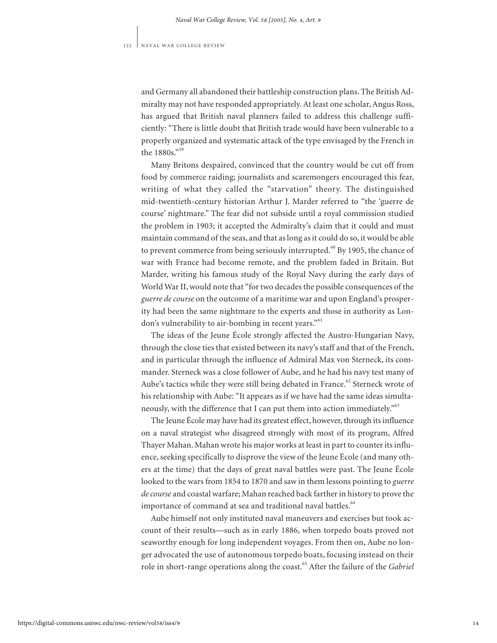and Germany all abandoned their battleship construction plans. The British Admiralty may not have responded appropriately. At least one scholar, Angus Ross, has argued that British naval planners failed to address this challenge sufficiently: "There is little doubt that British trade would have been vulnerable to a properly organized and systematic attack of the type envisaged by the French in the 1880s."<sup>59</sup>

Many Britons despaired, convinced that the country would be cut off from food by commerce raiding; journalists and scaremongers encouraged this fear, writing of what they called the "starvation" theory. The distinguished mid-twentieth-century historian Arthur J. Marder referred to "the 'guerre de course' nightmare." The fear did not subside until a royal commission studied the problem in 1903; it accepted the Admiralty's claim that it could and must maintain command of the seas, and that as long as it could do so, it would be able to prevent commerce from being seriously interrupted. $60$  By 1905, the chance of war with France had become remote, and the problem faded in Britain. But Marder, writing his famous study of the Royal Navy during the early days of World War II, would note that "for two decades the possible consequences of the *guerre de course* on the outcome of a maritime war and upon England's prosperity had been the same nightmare to the experts and those in authority as London's vulnerability to air-bombing in recent years."<sup>61</sup>

The ideas of the Jeune École strongly affected the Austro-Hungarian Navy, through the close ties that existed between its navy's staff and that of the French, and in particular through the influence of Admiral Max von Sterneck, its commander. Sterneck was a close follower of Aube, and he had his navy test many of Aube's tactics while they were still being debated in France.<sup>62</sup> Sterneck wrote of his relationship with Aube: "It appears as if we have had the same ideas simultaneously, with the difference that I can put them into action immediately."<sup>63</sup>

The Jeune École may have had its greatest effect, however, through its influence on a naval strategist who disagreed strongly with most of its program, Alfred Thayer Mahan. Mahan wrote his major works at least in part to counter its influence, seeking specifically to disprove the view of the Jeune École (and many others at the time) that the days of great naval battles were past. The Jeune École looked to the wars from 1854 to 1870 and saw in them lessons pointing to *guerre de course* and coastal warfare; Mahan reached back farther in history to prove the importance of command at sea and traditional naval battles.<sup>64</sup>

Aube himself not only instituted naval maneuvers and exercises but took account of their results—such as in early 1886, when torpedo boats proved not seaworthy enough for long independent voyages. From then on, Aube no longer advocated the use of autonomous torpedo boats, focusing instead on their role in short-range operations along the coast.<sup>65</sup> After the failure of the *Gabriel*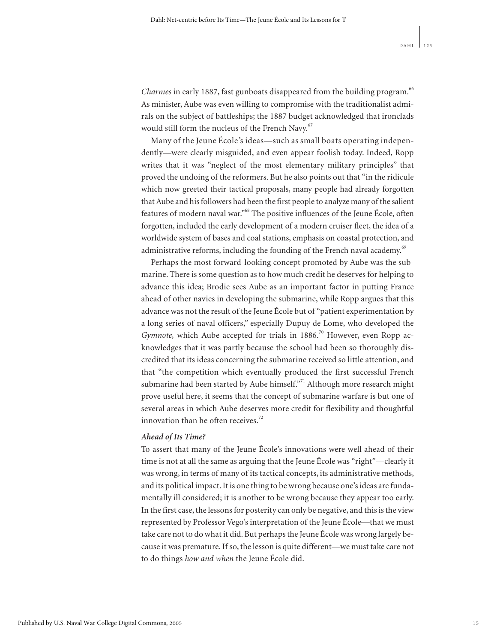*Charmes* in early 1887, fast gunboats disappeared from the building program.<sup>66</sup> As minister, Aube was even willing to compromise with the traditionalist admirals on the subject of battleships; the 1887 budget acknowledged that ironclads would still form the nucleus of the French Navy.<sup>67</sup>

Many of the Jeune École*'*s ideas—such as small boats operating independently—were clearly misguided, and even appear foolish today. Indeed, Ropp writes that it was "neglect of the most elementary military principles" that proved the undoing of the reformers. But he also points out that "in the ridicule which now greeted their tactical proposals, many people had already forgotten that Aube and his followers had been the first people to analyze many of the salient features of modern naval war."<sup>68</sup> The positive influences of the Jeune École, often forgotten, included the early development of a modern cruiser fleet, the idea of a worldwide system of bases and coal stations, emphasis on coastal protection, and administrative reforms, including the founding of the French naval academy.<sup>69</sup>

Perhaps the most forward-looking concept promoted by Aube was the submarine. There is some question as to how much credit he deserves for helping to advance this idea; Brodie sees Aube as an important factor in putting France ahead of other navies in developing the submarine, while Ropp argues that this advance was not the result of the Jeune École but of "patient experimentation by a long series of naval officers," especially Dupuy de Lome, who developed the *Gymnote*, which Aube accepted for trials in 1886.<sup>70</sup> However, even Ropp acknowledges that it was partly because the school had been so thoroughly discredited that its ideas concerning the submarine received so little attention, and that "the competition which eventually produced the first successful French submarine had been started by Aube himself."<sup>71</sup> Although more research might prove useful here, it seems that the concept of submarine warfare is but one of several areas in which Aube deserves more credit for flexibility and thoughtful innovation than he often receives.<sup>72</sup>

## *Ahead of Its Time?*

To assert that many of the Jeune École's innovations were well ahead of their time is not at all the same as arguing that the Jeune École was "right"—clearly it was wrong, in terms of many of its tactical concepts, its administrative methods, and its political impact. It is one thing to be wrong because one's ideas are fundamentally ill considered; it is another to be wrong because they appear too early. In the first case, the lessons for posterity can only be negative, and this is the view represented by Professor Vego's interpretation of the Jeune École—that we must take care not to do what it did. But perhaps the Jeune École was wrong largely because it was premature. If so, the lesson is quite different—we must take care not to do things *how and when* the Jeune École did.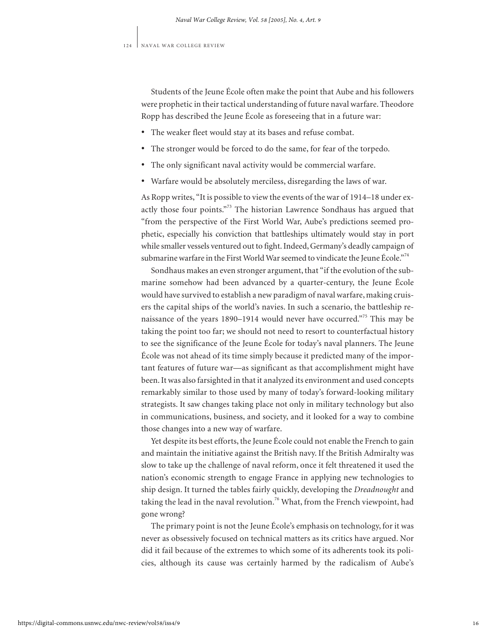Students of the Jeune École often make the point that Aube and his followers were prophetic in their tactical understanding of future naval warfare. Theodore Ropp has described the Jeune École as foreseeing that in a future war: •

- The weaker fleet would stay at its bases and refuse combat. •
- The stronger would be forced to do the same, for fear of the torpedo.
- The only significant naval activity would be commercial warfare.
- Warfare would be absolutely merciless, disregarding the laws of war.

As Ropp writes, "It is possible to view the events of the war of 1914–18 under exactly those four points."<sup>73</sup> The historian Lawrence Sondhaus has argued that "from the perspective of the First World War, Aube's predictions seemed prophetic, especially his conviction that battleships ultimately would stay in port while smaller vessels ventured out to fight. Indeed, Germany's deadly campaign of submarine warfare in the First World War seemed to vindicate the Jeune École."<sup>74</sup>

Sondhaus makes an even stronger argument, that "if the evolution of the submarine somehow had been advanced by a quarter-century, the Jeune École would have survived to establish a new paradigm of naval warfare, making cruisers the capital ships of the world's navies. In such a scenario, the battleship renaissance of the years 1890-1914 would never have occurred."<sup>75</sup> This may be taking the point too far; we should not need to resort to counterfactual history to see the significance of the Jeune École for today's naval planners. The Jeune École was not ahead of its time simply because it predicted many of the important features of future war—as significant as that accomplishment might have been. It was also farsighted in that it analyzed its environment and used concepts remarkably similar to those used by many of today's forward-looking military strategists. It saw changes taking place not only in military technology but also in communications, business, and society, and it looked for a way to combine those changes into a new way of warfare.

Yet despite its best efforts, the Jeune École could not enable the French to gain and maintain the initiative against the British navy. If the British Admiralty was slow to take up the challenge of naval reform, once it felt threatened it used the nation's economic strength to engage France in applying new technologies to ship design. It turned the tables fairly quickly, developing the *Dreadnought* and taking the lead in the naval revolution.<sup>76</sup> What, from the French viewpoint, had gone wrong?

The primary point is not the Jeune École's emphasis on technology, for it was never as obsessively focused on technical matters as its critics have argued. Nor did it fail because of the extremes to which some of its adherents took its policies, although its cause was certainly harmed by the radicalism of Aube's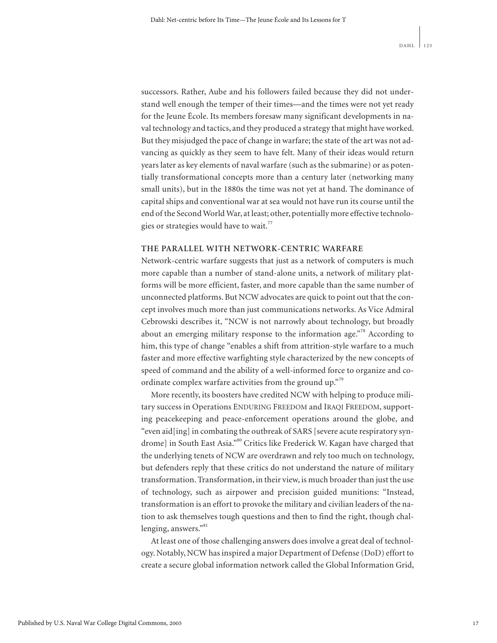successors. Rather, Aube and his followers failed because they did not understand well enough the temper of their times—and the times were not yet ready for the Jeune École. Its members foresaw many significant developments in naval technology and tactics, and they produced a strategy that might have worked. But they misjudged the pace of change in warfare; the state of the art was not advancing as quickly as they seem to have felt. Many of their ideas would return years later as key elements of naval warfare (such as the submarine) or as potentially transformational concepts more than a century later (networking many small units), but in the 1880s the time was not yet at hand. The dominance of capital ships and conventional war at sea would not have run its course until the end of the Second World War, at least; other, potentially more effective technologies or strategies would have to wait.<sup>77</sup>

#### **THE PARALLEL WITH NETWORK-CENTRIC WARFARE**

Network-centric warfare suggests that just as a network of computers is much more capable than a number of stand-alone units, a network of military platforms will be more efficient, faster, and more capable than the same number of unconnected platforms. But NCW advocates are quick to point out that the concept involves much more than just communications networks. As Vice Admiral Cebrowski describes it, "NCW is not narrowly about technology, but broadly about an emerging military response to the information age."<sup>78</sup> According to him, this type of change "enables a shift from attrition-style warfare to a much faster and more effective warfighting style characterized by the new concepts of speed of command and the ability of a well-informed force to organize and coordinate complex warfare activities from the ground up."<sup>9</sup>

More recently, its boosters have credited NCW with helping to produce military success in Operations ENDURING FREEDOM and IRAQI FREEDOM, supporting peacekeeping and peace-enforcement operations around the globe, and "even aid[ing] in combating the outbreak of SARS [severe acute respiratory syndrome] in South East Asia."<sup>80</sup> Critics like Frederick W. Kagan have charged that the underlying tenets of NCW are overdrawn and rely too much on technology, but defenders reply that these critics do not understand the nature of military transformation. Transformation, in their view, is much broader than just the use of technology, such as airpower and precision guided munitions: "Instead, transformation is an effort to provoke the military and civilian leaders of the nation to ask themselves tough questions and then to find the right, though challenging, answers."<sup>81</sup>

At least one of those challenging answers does involve a great deal of technology. Notably, NCW has inspired a major Department of Defense (DoD) effort to create a secure global information network called the Global Information Grid,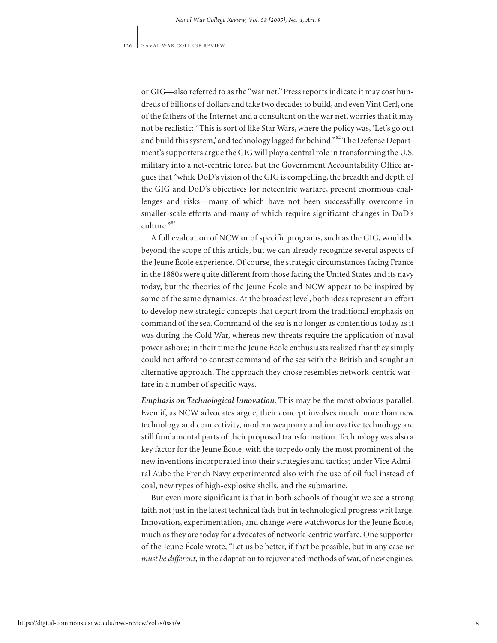or GIG—also referred to as the "war net." Press reports indicate it may cost hundreds of billions of dollars and take two decades to build, and even Vint Cerf, one of the fathers of the Internet and a consultant on the war net, worries that it may not be realistic: "This is sort of like Star Wars, where the policy was, 'Let's go out and build this system,' and technology lagged far behind."<sup>82</sup> The Defense Department's supporters argue the GIG will play a central role in transforming the U.S. military into a net-centric force, but the Government Accountability Office argues that "while DoD's vision of the GIG is compelling, the breadth and depth of the GIG and DoD's objectives for netcentric warfare, present enormous challenges and risks—many of which have not been successfully overcome in smaller-scale efforts and many of which require significant changes in DoD's  $\text{culture}^{383}$ 

A full evaluation of NCW or of specific programs, such as the GIG, would be beyond the scope of this article, but we can already recognize several aspects of the Jeune École experience. Of course, the strategic circumstances facing France in the 1880s were quite different from those facing the United States and its navy today, but the theories of the Jeune École and NCW appear to be inspired by some of the same dynamics. At the broadest level, both ideas represent an effort to develop new strategic concepts that depart from the traditional emphasis on command of the sea. Command of the sea is no longer as contentious today as it was during the Cold War, whereas new threats require the application of naval power ashore; in their time the Jeune École enthusiasts realized that they simply could not afford to contest command of the sea with the British and sought an alternative approach. The approach they chose resembles network-centric warfare in a number of specific ways.

*Emphasis on Technological Innovation.* This may be the most obvious parallel. Even if, as NCW advocates argue, their concept involves much more than new technology and connectivity, modern weaponry and innovative technology are still fundamental parts of their proposed transformation. Technology was also a key factor for the Jeune École, with the torpedo only the most prominent of the new inventions incorporated into their strategies and tactics; under Vice Admiral Aube the French Navy experimented also with the use of oil fuel instead of coal, new types of high-explosive shells, and the submarine.

But even more significant is that in both schools of thought we see a strong faith not just in the latest technical fads but in technological progress writ large. Innovation, experimentation, and change were watchwords for the Jeune École*,* much as they are today for advocates of network-centric warfare. One supporter of the Jeune École wrote, "Let us be better, if that be possible, but in any case *we must be different,* in the adaptation to rejuvenated methods of war, of new engines,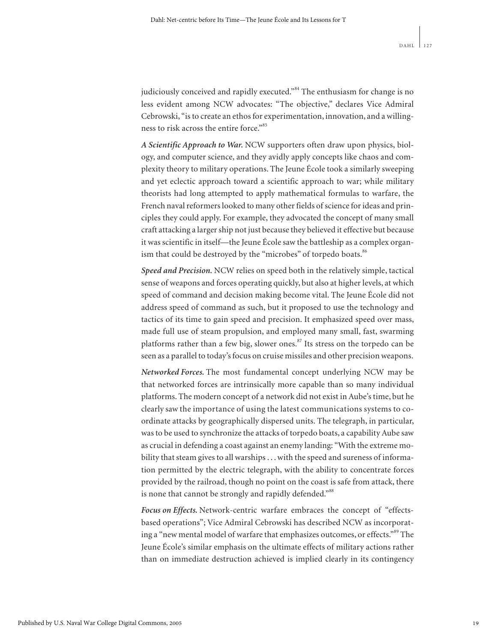judiciously conceived and rapidly executed."<sup>84</sup> The enthusiasm for change is no less evident among NCW advocates: "The objective," declares Vice Admiral Cebrowski, "is to create an ethos for experimentation, innovation, and a willingness to risk across the entire force."<sup>85</sup>

*A Scientific Approach to War.* NCW supporters often draw upon physics, biology, and computer science, and they avidly apply concepts like chaos and complexity theory to military operations. The Jeune École took a similarly sweeping and yet eclectic approach toward a scientific approach to war; while military theorists had long attempted to apply mathematical formulas to warfare, the French naval reformers looked to many other fields of science for ideas and principles they could apply. For example, they advocated the concept of many small craft attacking a larger ship not just because they believed it effective but because it was scientific in itself—the Jeune École saw the battleship as a complex organism that could be destroyed by the "microbes" of torpedo boats.<sup>86</sup>

*Speed and Precision.* NCW relies on speed both in the relatively simple, tactical sense of weapons and forces operating quickly, but also at higher levels, at which speed of command and decision making become vital. The Jeune École did not address speed of command as such, but it proposed to use the technology and tactics of its time to gain speed and precision. It emphasized speed over mass, made full use of steam propulsion, and employed many small, fast, swarming platforms rather than a few big, slower ones. $87$  Its stress on the torpedo can be seen as a parallel to today's focus on cruise missiles and other precision weapons.

*Networked Forces.* The most fundamental concept underlying NCW may be that networked forces are intrinsically more capable than so many individual platforms. The modern concept of a network did not exist in Aube's time, but he clearly saw the importance of using the latest communications systems to coordinate attacks by geographically dispersed units. The telegraph, in particular, was to be used to synchronize the attacks of torpedo boats, a capability Aube saw as crucial in defending a coast against an enemy landing: "With the extreme mobility that steam gives to all warships . . . with the speed and sureness of information permitted by the electric telegraph, with the ability to concentrate forces provided by the railroad, though no point on the coast is safe from attack, there is none that cannot be strongly and rapidly defended."<sup>88</sup>

*Focus on Effects.* Network-centric warfare embraces the concept of "effectsbased operations"; Vice Admiral Cebrowski has described NCW as incorporating a "new mental model of warfare that emphasizes outcomes, or effects."<sup>89</sup> The Jeune École's similar emphasis on the ultimate effects of military actions rather than on immediate destruction achieved is implied clearly in its contingency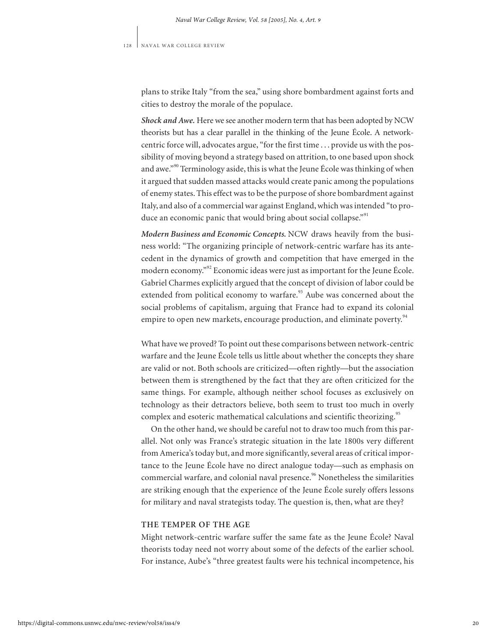plans to strike Italy "from the sea," using shore bombardment against forts and cities to destroy the morale of the populace.

*Shock and Awe.* Here we see another modern term that has been adopted by NCW theorists but has a clear parallel in the thinking of the Jeune École. A networkcentric force will, advocates argue, "for the first time . . . provide us with the possibility of moving beyond a strategy based on attrition, to one based upon shock and awe."<sup>90</sup> Terminology aside, this is what the Jeune École was thinking of when it argued that sudden massed attacks would create panic among the populations of enemy states. This effect was to be the purpose of shore bombardment against Italy, and also of a commercial war against England, which was intended "to produce an economic panic that would bring about social collapse."<sup>91</sup>

*Modern Business and Economic Concepts.* NCW draws heavily from the business world: "The organizing principle of network-centric warfare has its antecedent in the dynamics of growth and competition that have emerged in the modern economy."<sup>92</sup> Economic ideas were just as important for the Jeune École. Gabriel Charmes explicitly argued that the concept of division of labor could be extended from political economy to warfare.<sup>93</sup> Aube was concerned about the social problems of capitalism, arguing that France had to expand its colonial empire to open new markets, encourage production, and eliminate poverty.<sup>94</sup>

What have we proved? To point out these comparisons between network-centric warfare and the Jeune École tells us little about whether the concepts they share are valid or not. Both schools are criticized—often rightly—but the association between them is strengthened by the fact that they are often criticized for the same things. For example, although neither school focuses as exclusively on technology as their detractors believe, both seem to trust too much in overly complex and esoteric mathematical calculations and scientific theorizing.<sup>95</sup>

On the other hand, we should be careful not to draw too much from this parallel. Not only was France's strategic situation in the late 1800s very different from America's today but, and more significantly, several areas of critical importance to the Jeune École have no direct analogue today—such as emphasis on commercial warfare, and colonial naval presence.<sup>96</sup> Nonetheless the similarities are striking enough that the experience of the Jeune École surely offers lessons for military and naval strategists today. The question is, then, what are they?

# **THE TEMPER OF THE AGE**

Might network-centric warfare suffer the same fate as the Jeune École? Naval theorists today need not worry about some of the defects of the earlier school. For instance, Aube's "three greatest faults were his technical incompetence, his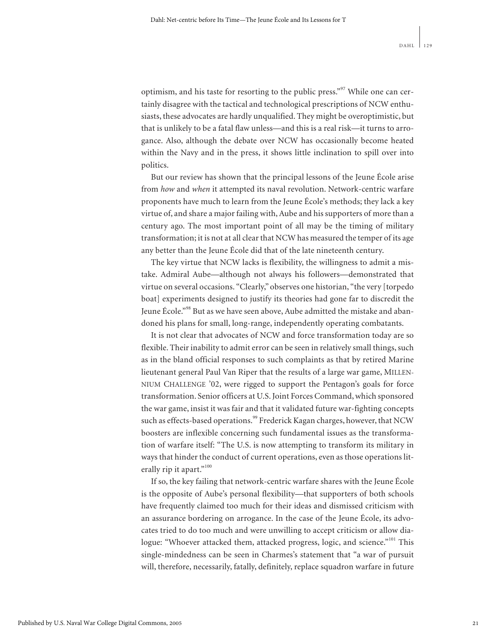optimism, and his taste for resorting to the public press."<sup>97</sup> While one can certainly disagree with the tactical and technological prescriptions of NCW enthusiasts, these advocates are hardly unqualified. They might be overoptimistic, but that is unlikely to be a fatal flaw unless—and this is a real risk—it turns to arrogance. Also, although the debate over NCW has occasionally become heated within the Navy and in the press, it shows little inclination to spill over into politics.

But our review has shown that the principal lessons of the Jeune École arise from *how* and *when* it attempted its naval revolution. Network-centric warfare proponents have much to learn from the Jeune École's methods; they lack a key virtue of, and share a major failing with, Aube and his supporters of more than a century ago. The most important point of all may be the timing of military transformation; it is not at all clear that NCW has measured the temper of its age any better than the Jeune École did that of the late nineteenth century.

The key virtue that NCW lacks is flexibility, the willingness to admit a mistake. Admiral Aube—although not always his followers—demonstrated that virtue on several occasions. "Clearly," observes one historian, "the very [torpedo boat] experiments designed to justify its theories had gone far to discredit the Jeune École."<sup>98</sup> But as we have seen above, Aube admitted the mistake and abandoned his plans for small, long-range, independently operating combatants.

It is not clear that advocates of NCW and force transformation today are so flexible. Their inability to admit error can be seen in relatively small things, such as in the bland official responses to such complaints as that by retired Marine lieutenant general Paul Van Riper that the results of a large war game, MILLEN-NIUM CHALLENGE '02, were rigged to support the Pentagon's goals for force transformation. Senior officers at U.S. Joint Forces Command, which sponsored the war game, insist it was fair and that it validated future war-fighting concepts such as effects-based operations.<sup>99</sup> Frederick Kagan charges, however, that NCW boosters are inflexible concerning such fundamental issues as the transformation of warfare itself: "The U.S. is now attempting to transform its military in ways that hinder the conduct of current operations, even as those operations literally rip it apart."<sup>100</sup>

If so, the key failing that network-centric warfare shares with the Jeune École is the opposite of Aube's personal flexibility—that supporters of both schools have frequently claimed too much for their ideas and dismissed criticism with an assurance bordering on arrogance. In the case of the Jeune École, its advocates tried to do too much and were unwilling to accept criticism or allow dialogue: "Whoever attacked them, attacked progress, logic, and science."<sup>101</sup> This single-mindedness can be seen in Charmes's statement that "a war of pursuit will, therefore, necessarily, fatally, definitely, replace squadron warfare in future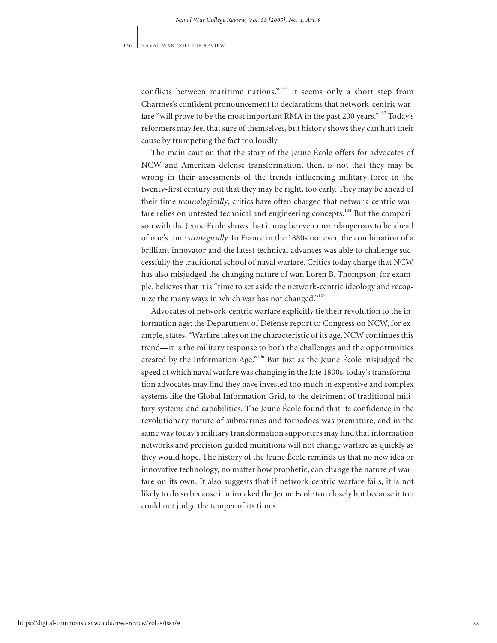conflicts between maritime nations."<sup>102</sup> It seems only a short step from Charmes's confident pronouncement to declarations that network-centric warfare "will prove to be the most important RMA in the past 200 years."<sup>103</sup> Today's reformers may feel that sure of themselves, but history shows they can hurt their cause by trumpeting the fact too loudly.

The main caution that the story of the Jeune École offers for advocates of NCW and American defense transformation, then, is not that they may be wrong in their assessments of the trends influencing military force in the twenty-first century but that they may be right, too early. They may be ahead of their time *technologically;* critics have often charged that network-centric warfare relies on untested technical and engineering concepts.<sup>104</sup> But the comparison with the Jeune École shows that it may be even more dangerous to be ahead of one's time *strategically*. In France in the 1880s not even the combination of a brilliant innovator and the latest technical advances was able to challenge successfully the traditional school of naval warfare. Critics today charge that NCW has also misjudged the changing nature of war. Loren B. Thompson, for example, believes that it is "time to set aside the network-centric ideology and recognize the many ways in which war has not changed."<sup>105</sup>

Advocates of network-centric warfare explicitly tie their revolution to the information age; the Department of Defense report to Congress on NCW, for example, states, "Warfare takes on the characteristic of its age. NCW continues this trend—it is the military response to both the challenges and the opportunities created by the Information Age."<sup>106</sup> But just as the Jeune École misjudged the speed at which naval warfare was changing in the late 1800s, today's transformation advocates may find they have invested too much in expensive and complex systems like the Global Information Grid, to the detriment of traditional military systems and capabilities. The Jeune École found that its confidence in the revolutionary nature of submarines and torpedoes was premature, and in the same way today's military transformation supporters may find that information networks and precision guided munitions will not change warfare as quickly as they would hope. The history of the Jeune École reminds us that no new idea or innovative technology, no matter how prophetic, can change the nature of warfare on its own. It also suggests that if network-centric warfare fails, it is not likely to do so because it mimicked the Jeune École too closely but because it too could not judge the temper of its times.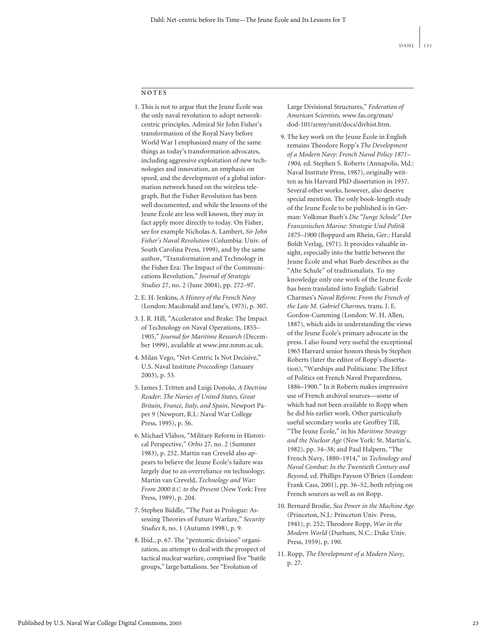### **NOTES**

- 1. This is not to argue that the Jeune École was the only naval revolution to adopt networkcentric principles. Admiral Sir John Fisher's transformation of the Royal Navy before World War I emphasized many of the same things as today's transformation advocates, including aggressive exploitation of new technologies and innovation, an emphasis on speed, and the development of a global information network based on the wireless telegraph. But the Fisher Revolution has been well documented, and while the lessons of the Jeune École are less well known, they may in fact apply more directly to today. On Fisher, see for example Nicholas A. Lambert, *Sir John Fisher's Naval Revolution* (Columbia: Univ. of South Carolina Press, 1999), and by the same author, "Transformation and Technology in the Fisher Era: The Impact of the Communications Revolution," *Journal of Strategic Studies* 27, no. 2 (June 2004), pp. 272–97.
- 2. E. H. Jenkins, *A History of the French Navy* (London: Macdonald and Jane's, 1973), p. 307.
- 3. J. R. Hill, "Accelerator and Brake: The Impact of Technology on Naval Operations, 1855– 1905," *Journal for Maritime Research* (December 1999), available at www.jmr.nmm.ac.uk.
- 4. Milan Vego, "Net-Centric Is Not Decisive," U.S. Naval Institute *Proceedings* (January 2003), p. 53.
- 5. James J. Tritten and Luigi Donolo, *A Doctrine Reader: The Navies of United States, Great Britain, France, Italy, and Spain*, Newport Paper 9 (Newport, R.I.: Naval War College Press, 1995), p. 56.
- 6. Michael Vlahos, "Military Reform in Historical Perspective," *Orbis* 27, no. 2 (Summer 1983), p. 252. Martin van Creveld also appears to believe the Jeune École's failure was largely due to an overreliance on technology; Martin van Creveld, *Technology and War: From 2000 B.C. to the Present* (New York: Free Press, 1989), p. 204.
- 7. Stephen Biddle, "The Past as Prologue: Assessing Theories of Future Warfare," *Security Studies* 8, no. 1 (Autumn 1998), p. 9.
- 8. Ibid., p. 67. The "pentomic division" organization, an attempt to deal with the prospect of tactical nuclear warfare, comprised five "battle groups," large battalions. See "Evolution of

Large Divisional Structures," *Federation of American Scientists,* www.fas.org/man/ dod-101/army/unit/docs/divhist.htm.

- 9. The key work on the Jeune École in English remains Theodore Ropp's *The Development of a Modern Navy: French Naval Policy 1871– 1904,* ed. Stephen S. Roberts (Annapolis, Md.: Naval Institute Press, 1987), originally written as his Harvard PhD dissertation in 1937. Several other works, however, also deserve special mention. The only book-length study of the Jeune École to be published is in German: Volkmar Bueb's *Die "Junge Schule" Der Franzosischen Marine: Strategie Und Politik 1875–1900* (Boppard am Rhein, Ger.: Harald Boldt Verlag, 1971). It provides valuable insight, especially into the battle between the Jeune École and what Bueb describes as the "Alte Schule" of traditionalists. To my knowledge only one work of the Jeune École has been translated into English: Gabriel Charmes's *Naval Reform: From the French of the Late M. Gabriel Charmes,* trans. J. E. Gordon-Cumming (London: W. H. Allen, 1887), which aids in understanding the views of the Jeune École's primary advocate in the press. I also found very useful the exceptional 1965 Harvard senior honors thesis by Stephen Roberts (later the editor of Ropp's dissertation), "Warships and Politicians: The Effect of Politics on French Naval Preparedness, 1886–1900." In it Roberts makes impressive use of French archival sources—some of which had not been available to Ropp when he did his earlier work. Other particularly useful secondary works are Geoffrey Till, "The Jeune École," in his *Maritime Strategy and the Nuclear Age* (New York: St. Martin's, 1982), pp. 34–38; and Paul Halpern, "The French Navy, 1880–1914," in *Technology and Naval Combat: In the Twentieth Century and Beyond,* ed. Phillips Payson O'Brien (London: Frank Cass, 2001), pp. 36–52, both relying on French sources as well as on Ropp.
- 10. Bernard Brodie, *Sea Power in the Machine Age* (Princeton, N.J.: Princeton Univ. Press, 1941), p. 252; Theodore Ropp, *War in the Modern World* (Durham, N.C.: Duke Univ. Press, 1959), p. 190.
- 11. Ropp, *The Development of a Modern Navy,* p. 27.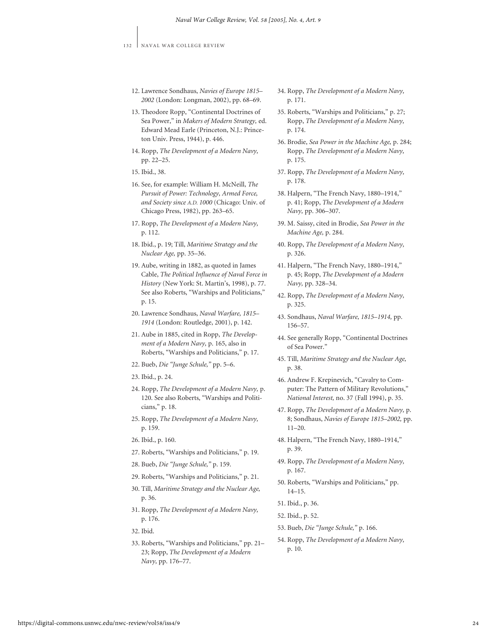- 12. Lawrence Sondhaus, *Navies of Europe 1815– 2002* (London: Longman, 2002), pp. 68–69.
- 13. Theodore Ropp, "Continental Doctrines of Sea Power," in *Makers of Modern Strategy,* ed. Edward Mead Earle (Princeton, N.J.: Princeton Univ. Press, 1944), p. 446.
- 14. Ropp, *The Development of a Modern Navy,* pp. 22–25.
- 15. Ibid., 38.
- 16. See, for example: William H. McNeill, *The Pursuit of Power: Technology, Armed Force, and Society since A.D. 1000* (Chicago: Univ. of Chicago Press, 1982), pp. 263–65.
- 17. Ropp, *The Development of a Modern Navy,* p. 112.
- 18. Ibid., p. 19; Till, *Maritime Strategy and the Nuclear Age,* pp. 35–36.
- 19. Aube, writing in 1882, as quoted in James Cable, *The Political Influence of Naval Force in History* (New York: St. Martin's, 1998), p. 77. See also Roberts, "Warships and Politicians," p. 15.
- 20. Lawrence Sondhaus, *Naval Warfare, 1815– 1914* (London: Routledge, 2001), p. 142.
- 21. Aube in 1885, cited in Ropp, *The Development of a Modern Navy,* p. 165, also in Roberts, "Warships and Politicians," p. 17.
- 22. Bueb, *Die "Junge Schule,"* pp. 5–6.
- 23. Ibid., p. 24.
- 24. Ropp, *The Development of a Modern Navy,* p. 120. See also Roberts, "Warships and Politicians," p. 18.
- 25. Ropp, *The Development of a Modern Navy,* p. 159.
- 26. Ibid., p. 160.
- 27. Roberts, "Warships and Politicians," p. 19.
- 28. Bueb, *Die "Junge Schule,"* p. 159.
- 29. Roberts, "Warships and Politicians," p. 21.
- 30. Till, *Maritime Strategy and the Nuclear Age,* p. 36.
- 31. Ropp, *The Development of a Modern Navy,* p. 176.
- 32. Ibid.
- 33. Roberts, "Warships and Politicians," pp. 21– 23; Ropp, *The Development of a Modern Navy,* pp. 176–77.
- 34. Ropp, *The Development of a Modern Navy,* p. 171.
- 35. Roberts, "Warships and Politicians," p. 27; Ropp, *The Development of a Modern Navy,* p. 174.
- 36. Brodie, *Sea Power in the Machine Age,* p. 284; Ropp, *The Development of a Modern Navy,* p. 175.
- 37. Ropp, *The Development of a Modern Navy,* p. 178.
- 38. Halpern, "The French Navy, 1880–1914," p. 41; Ropp, *The Development of a Modern Navy,* pp. 306–307.
- 39. M. Saissy, cited in Brodie, *Sea Power in the Machine Age,* p. 284.
- 40. Ropp, *The Development of a Modern Navy,* p. 326.
- 41. Halpern, "The French Navy, 1880–1914," p. 45; Ropp, *The Development of a Modern Navy,* pp. 328–34.
- 42. Ropp, *The Development of a Modern Navy,* p. 325.
- 43. Sondhaus, *Naval Warfare, 1815–1914,* pp. 156–57.
- 44. See generally Ropp, "Continental Doctrines of Sea Power."
- 45. Till, *Maritime Strategy and the Nuclear Age,* p. 38.
- 46. Andrew F. Krepinevich, "Cavalry to Computer: The Pattern of Military Revolutions," *National Interest,* no. 37 (Fall 1994), p. 35.
- 47. Ropp, *The Development of a Modern Navy,* p. 8; Sondhaus, *Navies of Europe 1815–2002,* pp. 11–20.
- 48. Halpern, "The French Navy, 1880–1914," p. 39.
- 49. Ropp, *The Development of a Modern Navy,* p. 167.
- 50. Roberts, "Warships and Politicians," pp. 14–15.
- 51. Ibid., p. 36.
- 52. Ibid., p. 52.
- 53. Bueb, *Die "Junge Schule,"* p. 166.
- 54. Ropp, *The Development of a Modern Navy,* p. 10.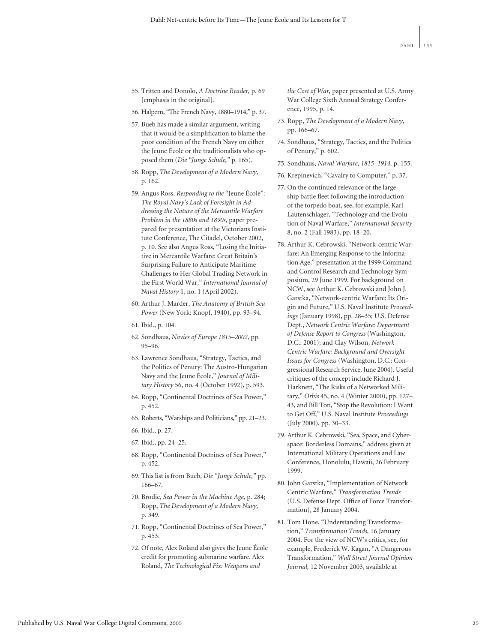- 55. Tritten and Donolo, *A Doctrine Reader,* p. 69 [emphasis in the original].
- 56. Halpern, "The French Navy, 1880–1914," p. 37.
- 57. Bueb has made a similar argument, writing that it would be a simplification to blame the poor condition of the French Navy on either the Jeune École or the traditionalists who opposed them (*Die "Junge Schule,"* p. 165).
- 58. Ropp, *The Development of a Modern Navy,* p. 162.
- 59. Angus Ross, *Responding to the* "Jeune École": *The Royal Navy's Lack of Foresight in Addressing the Nature of the Mercantile Warfare Problem in the 1880s and 1890s,* paper prepared for presentation at the Victorians Institute Conference, The Citadel, October 2002, p. 10. See also Angus Ross, "Losing the Initiative in Mercantile Warfare: Great Britain's Surprising Failure to Anticipate Maritime Challenges to Her Global Trading Network in the First World War," *International Journal of Naval History* 1, no. 1 (April 2002).
- 60. Arthur J. Marder, *The Anatomy of British Sea Power* (New York: Knopf, 1940), pp. 93–94.
- 61. Ibid., p. 104.
- 62. Sondhaus, *Navies of Europe 1815–2002,* pp. 95–96.
- 63. Lawrence Sondhaus, "Strategy, Tactics, and the Politics of Penury: The Austro-Hungarian Navy and the Jeune École," *Journal of Military History* 56, no. 4 (October 1992), p. 593.
- 64. Ropp, "Continental Doctrines of Sea Power," p. 452.
- 65. Roberts, "Warships and Politicians," pp. 21–23.
- 66. Ibid., p. 27.
- 67. Ibid., pp. 24–25.
- 68. Ropp, "Continental Doctrines of Sea Power," p. 452.
- 69. This list is from Bueb, *Die "Junge Schule,"* pp. 166–67.
- 70. Brodie, *Sea Power in the Machine Age,* p. 284; Ropp, *The Development of a Modern Navy,* p. 349.
- 71. Ropp, "Continental Doctrines of Sea Power," p. 453.
- 72. Of note, Alex Roland also gives the Jeune École credit for promoting submarine warfare. Alex Roland, *The Technological Fix: Weapons and*

*the Cost of War,* paper presented at U.S. Army War College Sixth Annual Strategy Conference, 1995, p. 14.

- 73. Ropp, *The Development of a Modern Navy,* pp. 166–67.
- 74. Sondhaus, "Strategy, Tactics, and the Politics of Penury," p. 602.
- 75. Sondhaus, *Naval Warfare, 1815–1914,* p. 155.
- 76. Krepinevich, "Cavalry to Computer," p. 37.
- 77. On the continued relevance of the largeship battle fleet following the introduction of the torpedo boat, see, for example, Karl Lautenschlager, "Technology and the Evolution of Naval Warfare," *International Security* 8, no. 2 (Fall 1983), pp. 18–20.
- 78. Arthur K. Cebrowski, "Network-centric Warfare: An Emerging Response to the Information Age," presentation at the 1999 Command and Control Research and Technology Symposium, 29 June 1999. For background on NCW, see Arthur K. Cebrowski and John J. Garstka, "Network-centric Warfare: Its Origin and Future," U.S. Naval Institute *Proceedings* (January 1998), pp. 28–35; U.S. Defense Dept., *Network Centric Warfare: Department of Defense Report to Congress* (Washington, D.C.: 2001); and Clay Wilson, *Network Centric Warfare: Background and Oversight Issues for Congress* (Washington, D.C.: Congressional Research Service, June 2004). Useful critiques of the concept include Richard J. Harknett, "The Risks of a Networked Military," *Orbis* 45, no. 4 (Winter 2000), pp. 127– 43, and Bill Toti, "Stop the Revolution: I Want to Get Off," U.S. Naval Institute *Proceedings* (July 2000), pp. 30–33.
- 79. Arthur K. Cebrowski, "Sea, Space, and Cyberspace: Borderless Domains," address given at International Military Operations and Law Conference, Honolulu, Hawaii, 26 February 1999.
- 80. John Garstka, "Implementation of Network Centric Warfare," *Transformation Trends* (U.S. Defense Dept. Office of Force Transformation), 28 January 2004.
- 81. Tom Hone, "Understanding Transformation," *Transformation Trends,* 16 January 2004. For the view of NCW's critics, see, for example, Frederick W. Kagan, "A Dangerous Transformation," *Wall Street Journal Opinion Journal,* 12 November 2003, available at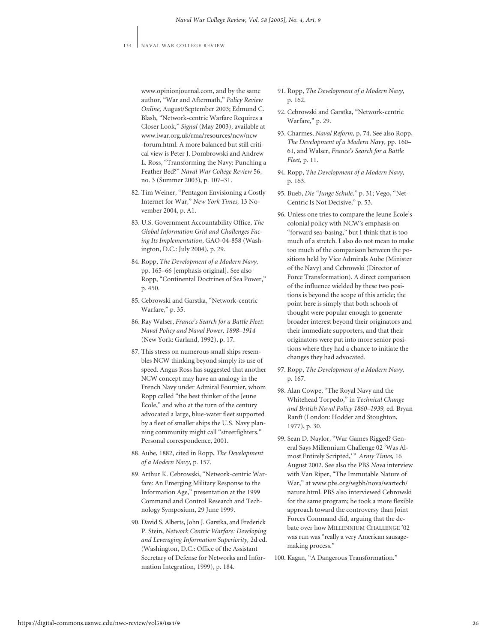www.opinionjournal.com, and by the same author, "War and Aftermath," *Policy Review Online,* August/September 2003; Edmund C. Blash, "Network-centric Warfare Requires a Closer Look," *Signal* (May 2003), available at www.iwar.org.uk/rma/resources/ncw/ncw -forum.html. A more balanced but still critical view is Peter J. Dombrowski and Andrew L. Ross, "Transforming the Navy: Punching a Feather Bed?" *Naval War College Review* 56, no. 3 (Summer 2003), p. 107–31.

- 82. Tim Weiner, "Pentagon Envisioning a Costly Internet for War," *New York Times,* 13 November 2004, p. A1.
- 83. U.S. Government Accountability Office, *The Global Information Grid and Challenges Facing Its Implementation*, GAO-04-858 (Washington, D.C.: July 2004), p. 29.
- 84. Ropp, *The Development of a Modern Navy,* pp. 165–66 [emphasis original]. See also Ropp, "Continental Doctrines of Sea Power," p. 450.
- 85. Cebrowski and Garstka, "Network-centric Warfare," p. 35.
- 86. Ray Walser, *France's Search for a Battle Fleet*: *Naval Policy and Naval Power, 1898–1914* (New York: Garland, 1992), p. 17.
- 87. This stress on numerous small ships resembles NCW thinking beyond simply its use of speed. Angus Ross has suggested that another NCW concept may have an analogy in the French Navy under Admiral Fournier, whom Ropp called "the best thinker of the Jeune École," and who at the turn of the century advocated a large, blue-water fleet supported by a fleet of smaller ships the U.S. Navy planning community might call "streetfighters." Personal correspondence, 2001.
- 88. Aube, 1882, cited in Ropp, *The Development of a Modern Navy,* p. 157.
- 89. Arthur K. Cebrowski, "Network-centric Warfare: An Emerging Military Response to the Information Age," presentation at the 1999 Command and Control Research and Technology Symposium, 29 June 1999.
- 90. David S. Alberts, John J. Garstka, and Frederick P. Stein, *Network Centric Warfare: Developing and Leveraging Information Superiority,* 2d ed. (Washington, D.C.: Office of the Assistant Secretary of Defense for Networks and Information Integration, 1999), p. 184.
- 91. Ropp, *The Development of a Modern Navy,* p. 162.
- 92. Cebrowski and Garstka, "Network-centric Warfare," p. 29.
- 93. Charmes, *Naval Reform,* p. 74. See also Ropp, *The Development of a Modern Navy,* pp. 160– 61, and Walser, *France's Search for a Battle Fleet,* p. 11.
- 94. Ropp, *The Development of a Modern Navy,* p. 163.
- 95. Bueb, *Die "Junge Schule,"* p. 31; Vego, "Net-Centric Is Not Decisive," p. 53.
- 96. Unless one tries to compare the Jeune École's colonial policy with NCW's emphasis on "forward sea-basing," but I think that is too much of a stretch. I also do not mean to make too much of the comparison between the positions held by Vice Admirals Aube (Minister of the Navy) and Cebrowski (Director of Force Transformation). A direct comparison of the influence wielded by these two positions is beyond the scope of this article; the point here is simply that both schools of thought were popular enough to generate broader interest beyond their originators and their immediate supporters, and that their originators were put into more senior positions where they had a chance to initiate the changes they had advocated.
- 97. Ropp, *The Development of a Modern Navy,* p. 167.
- 98. Alan Cowpe, "The Royal Navy and the Whitehead Torpedo," in *Technical Change and British Naval Policy 1860–1939,* ed. Bryan Ranft (London: Hodder and Stoughton, 1977), p. 30.
- 99. Sean D. Naylor, "War Games Rigged? General Says Millennium Challenge 02 'Was Almost Entirely Scripted,'" Army Times, 16 August 2002. See also the PBS *Nova* interview with Van Riper, "The Immutable Nature of War," at www.pbs.org/wgbh/nova/wartech/ nature.html. PBS also interviewed Cebrowski for the same program; he took a more flexible approach toward the controversy than Joint Forces Command did, arguing that the debate over how MILLENNIUM CHALLENGE '02 was run was "really a very American sausagemaking process."
- 100. Kagan, "A Dangerous Transformation."